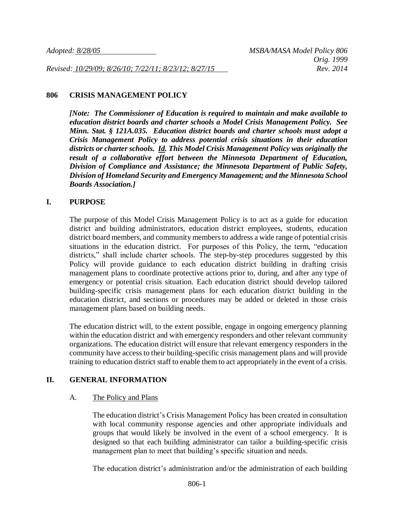*Revised: 10/29/09; 8/26/10; 7/22/11; 8/23/12; 8/27/15 Rev. 2014*

#### **806 CRISIS MANAGEMENT POLICY**

*[Note: The Commissioner of Education is required to maintain and make available to education district boards and charter schools a Model Crisis Management Policy. See Minn. Stat. § 121A.035. Education district boards and charter schools must adopt a Crisis Management Policy to address potential crisis situations in their education districts or charter schools. Id. This Model Crisis Management Policy was originally the result of a collaborative effort between the Minnesota Department of Education, Division of Compliance and Assistance; the Minnesota Department of Public Safety, Division of Homeland Security and Emergency Management; and the Minnesota School Boards Association.]*

### **I. PURPOSE**

The purpose of this Model Crisis Management Policy is to act as a guide for education district and building administrators, education district employees, students, education district board members, and community members to address a wide range of potential crisis situations in the education district. For purposes of this Policy, the term, "education districts," shall include charter schools. The step-by-step procedures suggested by this Policy will provide guidance to each education district building in drafting crisis management plans to coordinate protective actions prior to, during, and after any type of emergency or potential crisis situation. Each education district should develop tailored building-specific crisis management plans for each education district building in the education district, and sections or procedures may be added or deleted in those crisis management plans based on building needs.

The education district will, to the extent possible, engage in ongoing emergency planning within the education district and with emergency responders and other relevant community organizations. The education district will ensure that relevant emergency responders in the community have access to their building-specific crisis management plans and will provide training to education district staff to enable them to act appropriately in the event of a crisis.

### **II. GENERAL INFORMATION**

### A. The Policy and Plans

The education district's Crisis Management Policy has been created in consultation with local community response agencies and other appropriate individuals and groups that would likely be involved in the event of a school emergency. It is designed so that each building administrator can tailor a building-specific crisis management plan to meet that building's specific situation and needs.

The education district's administration and/or the administration of each building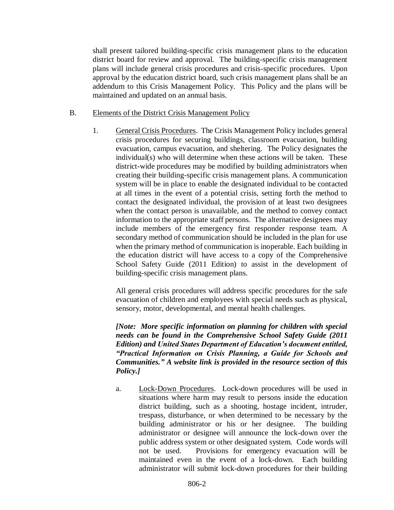shall present tailored building-specific crisis management plans to the education district board for review and approval. The building-specific crisis management plans will include general crisis procedures and crisis-specific procedures. Upon approval by the education district board, such crisis management plans shall be an addendum to this Crisis Management Policy. This Policy and the plans will be maintained and updated on an annual basis.

- B. Elements of the District Crisis Management Policy
	- 1. General Crisis Procedures. The Crisis Management Policy includes general crisis procedures for securing buildings, classroom evacuation, building evacuation, campus evacuation, and sheltering. The Policy designates the individual(s) who will determine when these actions will be taken. These district-wide procedures may be modified by building administrators when creating their building-specific crisis management plans. A communication system will be in place to enable the designated individual to be contacted at all times in the event of a potential crisis, setting forth the method to contact the designated individual, the provision of at least two designees when the contact person is unavailable, and the method to convey contact information to the appropriate staff persons. The alternative designees may include members of the emergency first responder response team. A secondary method of communication should be included in the plan for use when the primary method of communication is inoperable. Each building in the education district will have access to a copy of the Comprehensive School Safety Guide (2011 Edition) to assist in the development of building-specific crisis management plans.

All general crisis procedures will address specific procedures for the safe evacuation of children and employees with special needs such as physical, sensory, motor, developmental, and mental health challenges.

*[Note: More specific information on planning for children with special needs can be found in the Comprehensive School Safety Guide (2011 Edition) and United States Department of Education's document entitled, "Practical Information on Crisis Planning, a Guide for Schools and Communities." A website link is provided in the resource section of this Policy.]*

a. Lock-Down Procedures. Lock-down procedures will be used in situations where harm may result to persons inside the education district building, such as a shooting, hostage incident, intruder, trespass, disturbance, or when determined to be necessary by the building administrator or his or her designee. The building administrator or designee will announce the lock-down over the public address system or other designated system. Code words will not be used. Provisions for emergency evacuation will be maintained even in the event of a lock-down. Each building administrator will submit lock-down procedures for their building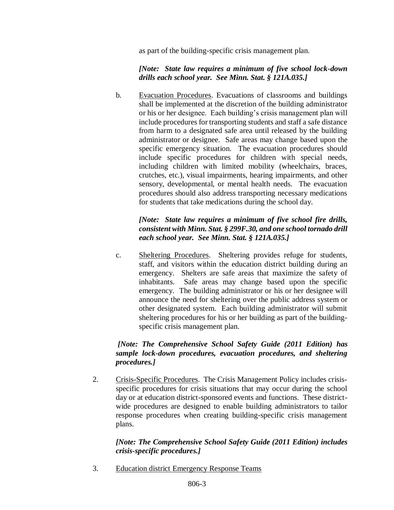as part of the building-specific crisis management plan.

### *[Note: State law requires a minimum of five school lock-down drills each school year. See Minn. Stat. § 121A.035.]*

b. Evacuation Procedures. Evacuations of classrooms and buildings shall be implemented at the discretion of the building administrator or his or her designee. Each building's crisis management plan will include procedures for transporting students and staff a safe distance from harm to a designated safe area until released by the building administrator or designee. Safe areas may change based upon the specific emergency situation. The evacuation procedures should include specific procedures for children with special needs, including children with limited mobility (wheelchairs, braces, crutches, etc.), visual impairments, hearing impairments, and other sensory, developmental, or mental health needs. The evacuation procedures should also address transporting necessary medications for students that take medications during the school day.

# *[Note: State law requires a minimum of five school fire drills, consistent with Minn. Stat. § 299F.30, and one school tornado drill each school year. See Minn. Stat. § 121A.035.]*

c. Sheltering Procedures. Sheltering provides refuge for students, staff, and visitors within the education district building during an emergency. Shelters are safe areas that maximize the safety of inhabitants. Safe areas may change based upon the specific emergency. The building administrator or his or her designee will announce the need for sheltering over the public address system or other designated system. Each building administrator will submit sheltering procedures for his or her building as part of the buildingspecific crisis management plan.

# *[Note: The Comprehensive School Safety Guide (2011 Edition) has sample lock-down procedures, evacuation procedures, and sheltering procedures.]*

2. Crisis-Specific Procedures. The Crisis Management Policy includes crisisspecific procedures for crisis situations that may occur during the school day or at education district-sponsored events and functions. These districtwide procedures are designed to enable building administrators to tailor response procedures when creating building-specific crisis management plans.

## *[Note: The Comprehensive School Safety Guide (2011 Edition) includes crisis-specific procedures.]*

3. Education district Emergency Response Teams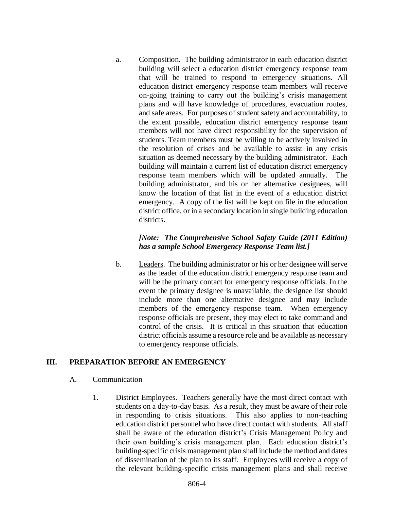a. Composition. The building administrator in each education district building will select a education district emergency response team that will be trained to respond to emergency situations. All education district emergency response team members will receive on-going training to carry out the building's crisis management plans and will have knowledge of procedures, evacuation routes, and safe areas. For purposes of student safety and accountability, to the extent possible, education district emergency response team members will not have direct responsibility for the supervision of students. Team members must be willing to be actively involved in the resolution of crises and be available to assist in any crisis situation as deemed necessary by the building administrator. Each building will maintain a current list of education district emergency response team members which will be updated annually. The building administrator, and his or her alternative designees, will know the location of that list in the event of a education district emergency. A copy of the list will be kept on file in the education district office, or in a secondary location in single building education districts.

## *[Note: The Comprehensive School Safety Guide (2011 Edition) has a sample School Emergency Response Team list.]*

b. Leaders. The building administrator or his or her designee will serve as the leader of the education district emergency response team and will be the primary contact for emergency response officials. In the event the primary designee is unavailable, the designee list should include more than one alternative designee and may include members of the emergency response team. When emergency response officials are present, they may elect to take command and control of the crisis. It is critical in this situation that education district officials assume a resource role and be available as necessary to emergency response officials.

## **III. PREPARATION BEFORE AN EMERGENCY**

### A. Communication

1. District Employees. Teachers generally have the most direct contact with students on a day-to-day basis. As a result, they must be aware of their role in responding to crisis situations. This also applies to non-teaching education district personnel who have direct contact with students. All staff shall be aware of the education district's Crisis Management Policy and their own building's crisis management plan. Each education district's building-specific crisis management plan shall include the method and dates of dissemination of the plan to its staff. Employees will receive a copy of the relevant building-specific crisis management plans and shall receive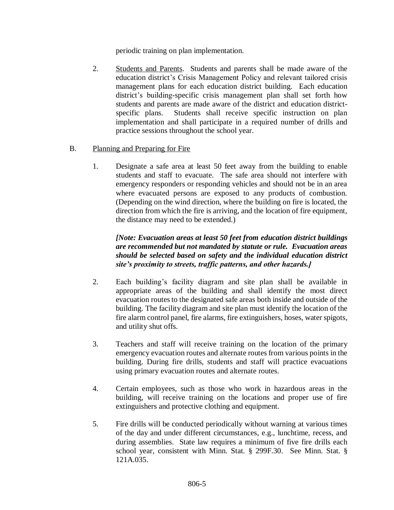periodic training on plan implementation.

2. Students and Parents. Students and parents shall be made aware of the education district's Crisis Management Policy and relevant tailored crisis management plans for each education district building. Each education district's building-specific crisis management plan shall set forth how students and parents are made aware of the district and education districtspecific plans. Students shall receive specific instruction on plan implementation and shall participate in a required number of drills and practice sessions throughout the school year.

### B. Planning and Preparing for Fire

1. Designate a safe area at least 50 feet away from the building to enable students and staff to evacuate. The safe area should not interfere with emergency responders or responding vehicles and should not be in an area where evacuated persons are exposed to any products of combustion. (Depending on the wind direction, where the building on fire is located, the direction from which the fire is arriving, and the location of fire equipment, the distance may need to be extended.)

## *[Note: Evacuation areas at least 50 feet from education district buildings are recommended but not mandated by statute or rule. Evacuation areas should be selected based on safety and the individual education district site's proximity to streets, traffic patterns, and other hazards.]*

- 2. Each building's facility diagram and site plan shall be available in appropriate areas of the building and shall identify the most direct evacuation routes to the designated safe areas both inside and outside of the building. The facility diagram and site plan must identify the location of the fire alarm control panel, fire alarms, fire extinguishers, hoses, water spigots, and utility shut offs.
- 3. Teachers and staff will receive training on the location of the primary emergency evacuation routes and alternate routes from various points in the building. During fire drills, students and staff will practice evacuations using primary evacuation routes and alternate routes.
- 4. Certain employees, such as those who work in hazardous areas in the building, will receive training on the locations and proper use of fire extinguishers and protective clothing and equipment.
- 5. Fire drills will be conducted periodically without warning at various times of the day and under different circumstances, e.g., lunchtime, recess, and during assemblies. State law requires a minimum of five fire drills each school year, consistent with Minn. Stat. § 299F.30. See Minn. Stat. § 121A.035.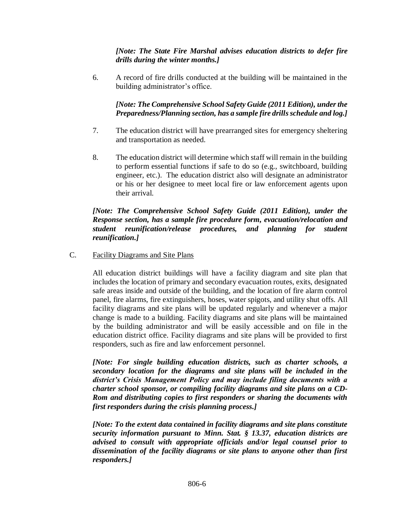*[Note: The State Fire Marshal advises education districts to defer fire drills during the winter months.]*

6. A record of fire drills conducted at the building will be maintained in the building administrator's office.

## *[Note: The Comprehensive School Safety Guide (2011 Edition), under the Preparedness/Planning section, has a sample fire drills schedule and log.]*

- 7. The education district will have prearranged sites for emergency sheltering and transportation as needed.
- 8. The education district will determine which staff will remain in the building to perform essential functions if safe to do so (e.g., switchboard, building engineer, etc.). The education district also will designate an administrator or his or her designee to meet local fire or law enforcement agents upon their arrival.

### *[Note: The Comprehensive School Safety Guide (2011 Edition), under the Response section, has a sample fire procedure form, evacuation/relocation and student reunification/release procedures, and planning for student reunification.]*

C. Facility Diagrams and Site Plans

All education district buildings will have a facility diagram and site plan that includes the location of primary and secondary evacuation routes, exits, designated safe areas inside and outside of the building, and the location of fire alarm control panel, fire alarms, fire extinguishers, hoses, water spigots, and utility shut offs. All facility diagrams and site plans will be updated regularly and whenever a major change is made to a building. Facility diagrams and site plans will be maintained by the building administrator and will be easily accessible and on file in the education district office. Facility diagrams and site plans will be provided to first responders, such as fire and law enforcement personnel.

*[Note: For single building education districts, such as charter schools, a secondary location for the diagrams and site plans will be included in the district's Crisis Management Policy and may include filing documents with a charter school sponsor, or compiling facility diagrams and site plans on a CD-Rom and distributing copies to first responders or sharing the documents with first responders during the crisis planning process.]*

*[Note: To the extent data contained in facility diagrams and site plans constitute security information pursuant to Minn. Stat. § 13.37, education districts are advised to consult with appropriate officials and/or legal counsel prior to dissemination of the facility diagrams or site plans to anyone other than first responders.]*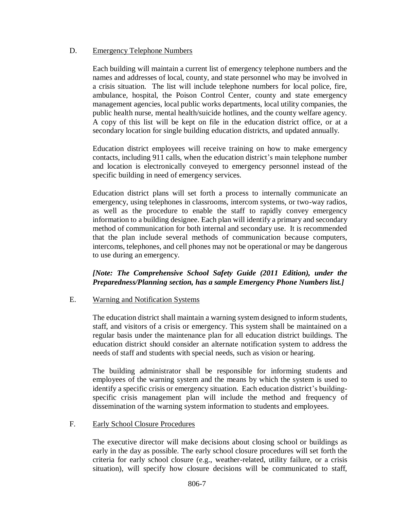### D. Emergency Telephone Numbers

Each building will maintain a current list of emergency telephone numbers and the names and addresses of local, county, and state personnel who may be involved in a crisis situation. The list will include telephone numbers for local police, fire, ambulance, hospital, the Poison Control Center, county and state emergency management agencies, local public works departments, local utility companies, the public health nurse, mental health/suicide hotlines, and the county welfare agency. A copy of this list will be kept on file in the education district office, or at a secondary location for single building education districts, and updated annually.

Education district employees will receive training on how to make emergency contacts, including 911 calls, when the education district's main telephone number and location is electronically conveyed to emergency personnel instead of the specific building in need of emergency services.

Education district plans will set forth a process to internally communicate an emergency, using telephones in classrooms, intercom systems, or two-way radios, as well as the procedure to enable the staff to rapidly convey emergency information to a building designee. Each plan will identify a primary and secondary method of communication for both internal and secondary use. It is recommended that the plan include several methods of communication because computers, intercoms, telephones, and cell phones may not be operational or may be dangerous to use during an emergency.

## *[Note: The Comprehensive School Safety Guide (2011 Edition), under the Preparedness/Planning section, has a sample Emergency Phone Numbers list.]*

### E. Warning and Notification Systems

The education district shall maintain a warning system designed to inform students, staff, and visitors of a crisis or emergency. This system shall be maintained on a regular basis under the maintenance plan for all education district buildings. The education district should consider an alternate notification system to address the needs of staff and students with special needs, such as vision or hearing.

The building administrator shall be responsible for informing students and employees of the warning system and the means by which the system is used to identify a specific crisis or emergency situation. Each education district's buildingspecific crisis management plan will include the method and frequency of dissemination of the warning system information to students and employees.

### F. Early School Closure Procedures

The executive director will make decisions about closing school or buildings as early in the day as possible. The early school closure procedures will set forth the criteria for early school closure (e.g., weather-related, utility failure, or a crisis situation), will specify how closure decisions will be communicated to staff,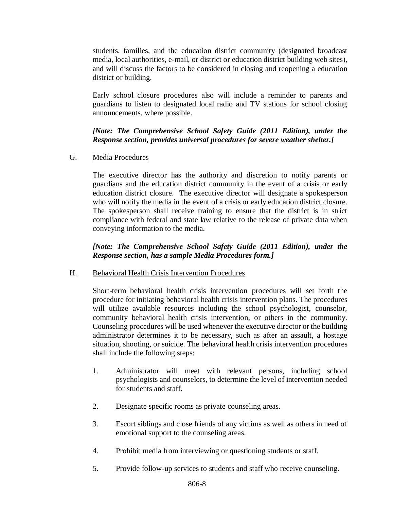students, families, and the education district community (designated broadcast media, local authorities, e-mail, or district or education district building web sites), and will discuss the factors to be considered in closing and reopening a education district or building.

Early school closure procedures also will include a reminder to parents and guardians to listen to designated local radio and TV stations for school closing announcements, where possible.

# *[Note: The Comprehensive School Safety Guide (2011 Edition), under the Response section, provides universal procedures for severe weather shelter.]*

### G. Media Procedures

The executive director has the authority and discretion to notify parents or guardians and the education district community in the event of a crisis or early education district closure. The executive director will designate a spokesperson who will notify the media in the event of a crisis or early education district closure. The spokesperson shall receive training to ensure that the district is in strict compliance with federal and state law relative to the release of private data when conveying information to the media.

*[Note: The Comprehensive School Safety Guide (2011 Edition), under the Response section, has a sample Media Procedures form.]*

## H. Behavioral Health Crisis Intervention Procedures

Short-term behavioral health crisis intervention procedures will set forth the procedure for initiating behavioral health crisis intervention plans. The procedures will utilize available resources including the school psychologist, counselor, community behavioral health crisis intervention, or others in the community. Counseling procedures will be used whenever the executive director or the building administrator determines it to be necessary, such as after an assault, a hostage situation, shooting, or suicide. The behavioral health crisis intervention procedures shall include the following steps:

- 1. Administrator will meet with relevant persons, including school psychologists and counselors, to determine the level of intervention needed for students and staff.
- 2. Designate specific rooms as private counseling areas.
- 3. Escort siblings and close friends of any victims as well as others in need of emotional support to the counseling areas.
- 4. Prohibit media from interviewing or questioning students or staff.
- 5. Provide follow-up services to students and staff who receive counseling.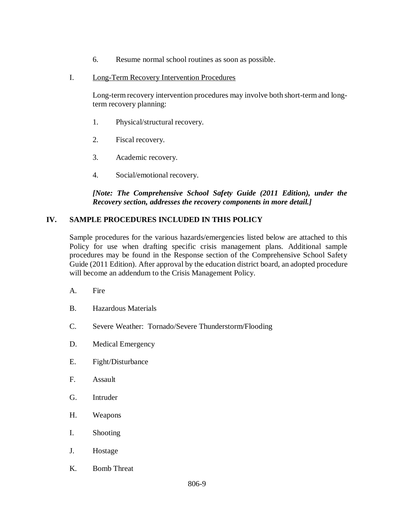- 6. Resume normal school routines as soon as possible.
- I. Long-Term Recovery Intervention Procedures

Long-term recovery intervention procedures may involve both short-term and longterm recovery planning:

- 1. Physical/structural recovery.
- 2. Fiscal recovery.
- 3. Academic recovery.
- 4. Social/emotional recovery.

### *[Note: The Comprehensive School Safety Guide (2011 Edition), under the Recovery section, addresses the recovery components in more detail.]*

# **IV. SAMPLE PROCEDURES INCLUDED IN THIS POLICY**

Sample procedures for the various hazards/emergencies listed below are attached to this Policy for use when drafting specific crisis management plans. Additional sample procedures may be found in the Response section of the Comprehensive School Safety Guide (2011 Edition). After approval by the education district board, an adopted procedure will become an addendum to the Crisis Management Policy.

- A. Fire
- B. Hazardous Materials
- C. Severe Weather: Tornado/Severe Thunderstorm/Flooding
- D. Medical Emergency
- E. Fight/Disturbance
- F. Assault
- G. Intruder
- H. Weapons
- I. Shooting
- J. Hostage
- K. Bomb Threat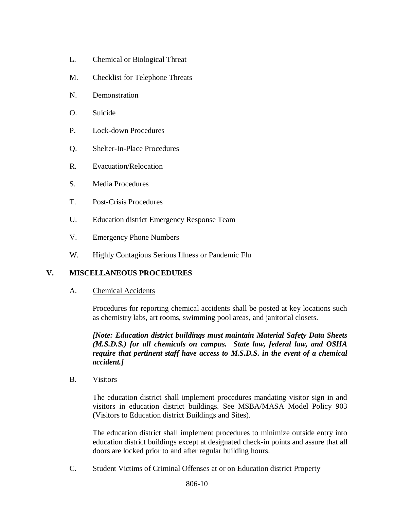- L. Chemical or Biological Threat
- M. Checklist for Telephone Threats
- N. Demonstration
- O. Suicide
- P. Lock-down Procedures
- Q. Shelter-In-Place Procedures
- R. Evacuation/Relocation
- S. Media Procedures
- T. Post-Crisis Procedures
- U. Education district Emergency Response Team
- V. Emergency Phone Numbers
- W. Highly Contagious Serious Illness or Pandemic Flu

## **V. MISCELLANEOUS PROCEDURES**

A. Chemical Accidents

Procedures for reporting chemical accidents shall be posted at key locations such as chemistry labs, art rooms, swimming pool areas, and janitorial closets.

*[Note: Education district buildings must maintain Material Safety Data Sheets (M.S.D.S.) for all chemicals on campus. State law, federal law, and OSHA require that pertinent staff have access to M.S.D.S. in the event of a chemical accident.]*

B. Visitors

The education district shall implement procedures mandating visitor sign in and visitors in education district buildings. See MSBA/MASA Model Policy 903 (Visitors to Education district Buildings and Sites).

The education district shall implement procedures to minimize outside entry into education district buildings except at designated check-in points and assure that all doors are locked prior to and after regular building hours.

C. Student Victims of Criminal Offenses at or on Education district Property